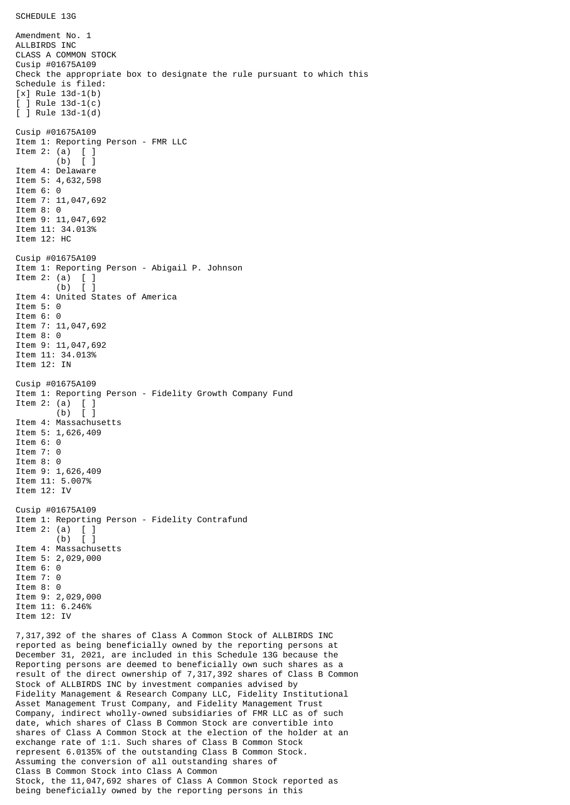Amendment No. 1 ALLBIRDS INC CLASS A COMMON STOCK Cusip #01675A109 Check the appropriate box to designate the rule pursuant to which this Schedule is filed: [x] Rule 13d-1(b) [ ] Rule 13d-1(c) [ ] Rule 13d-1(d) Cusip #01675A109 Item 1: Reporting Person - FMR LLC Item 2: (a) [ ] (b) [ ] Item 4: Delaware Item 5: 4,632,598 Item 6: 0 Item 7: 11,047,692 Item 8: 0 Item 9: 11,047,692 Item 11: 34.013% Item 12: HC Cusip #01675A109 Item 1: Reporting Person - Abigail P. Johnson Item 2: (a)  $\begin{bmatrix} 1 \\ 0 \end{bmatrix}$  $(b)$ Item 4: United States of America Item 5: 0 Item 6: 0 Item 7: 11,047,692 Item 8: 0 Item 9: 11,047,692 Item 11: 34.013% Item 12: IN Cusip #01675A109 Item 1: Reporting Person - Fidelity Growth Company Fund Item 2: (a) [ ] (b) [ ] Item 4: Massachusetts Item 5: 1,626,409 Item 6: 0 Item 7: 0 Item 8: 0 Item 9: 1,626,409 Item 11: 5.007% Item 12: IV Cusip #01675A109 Item 1: Reporting Person - Fidelity Contrafund Item 2: (a) [ ] (b) [ ] Item 4: Massachusetts Item 5: 2,029,000 Item 6: 0 Item 7: 0 Item 8: 0 Item 9: 2,029,000 Item 11: 6.246% Item 12: IV 7,317,392 of the shares of Class A Common Stock of ALLBIRDS INC reported as being beneficially owned by the reporting persons at December 31, 2021, are included in this Schedule 13G because the Reporting persons are deemed to beneficially own such shares as a result of the direct ownership of 7,317,392 shares of Class B Common Stock of ALLBIRDS INC by investment companies advised by Fidelity Management & Research Company LLC, Fidelity Institutional Asset Management Trust Company, and Fidelity Management Trust Company, indirect wholly-owned subsidiaries of FMR LLC as of such

date, which shares of Class B Common Stock are convertible into shares of Class A Common Stock at the election of the holder at an exchange rate of 1:1. Such shares of Class B Common Stock represent 6.0135% of the outstanding Class B Common Stock. Assuming the conversion of all outstanding shares of Class B Common Stock into Class A Common Stock, the 11,047,692 shares of Class A Common Stock reported as being beneficially owned by the reporting persons in this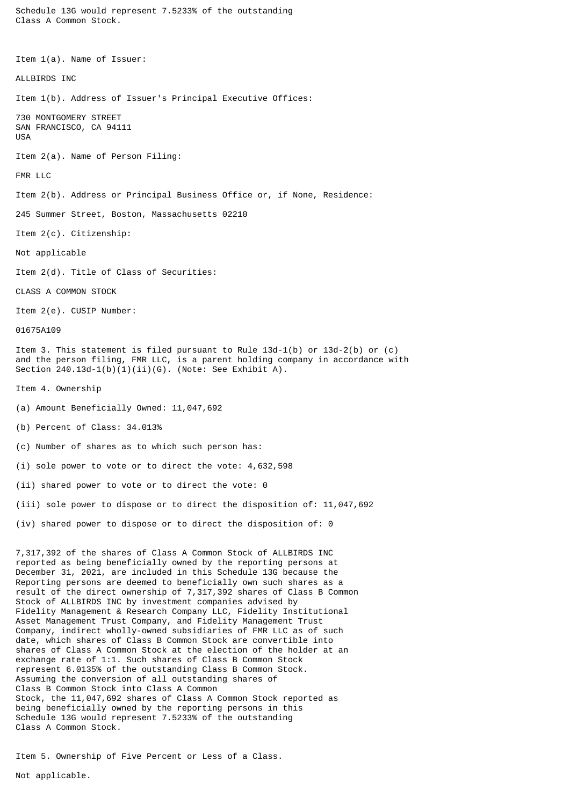Class A Common Stock. Item 1(a). Name of Issuer: ALLBIRDS INC Item 1(b). Address of Issuer's Principal Executive Offices: 730 MONTGOMERY STREET SAN FRANCISCO, CA 94111 USA Item 2(a). Name of Person Filing: FMR LLC Item 2(b). Address or Principal Business Office or, if None, Residence: 245 Summer Street, Boston, Massachusetts 02210 Item 2(c). Citizenship: Not applicable Item 2(d). Title of Class of Securities: CLASS A COMMON STOCK Item 2(e). CUSIP Number: 01675A109 Item 3. This statement is filed pursuant to Rule 13d-1(b) or 13d-2(b) or (c) and the person filing, FMR LLC, is a parent holding company in accordance with Section 240.13d-1(b)(1)(ii)(G). (Note: See Exhibit A). Item 4. Ownership (a) Amount Beneficially Owned: 11,047,692 (b) Percent of Class: 34.013% (c) Number of shares as to which such person has: (i) sole power to vote or to direct the vote: 4,632,598 (ii) shared power to vote or to direct the vote: 0 (iii) sole power to dispose or to direct the disposition of: 11,047,692 (iv) shared power to dispose or to direct the disposition of: 0 7,317,392 of the shares of Class A Common Stock of ALLBIRDS INC reported as being beneficially owned by the reporting persons at December 31, 2021, are included in this Schedule 13G because the Reporting persons are deemed to beneficially own such shares as a result of the direct ownership of 7,317,392 shares of Class B Common Stock of ALLBIRDS INC by investment companies advised by Fidelity Management & Research Company LLC, Fidelity Institutional Asset Management Trust Company, and Fidelity Management Trust Company, indirect wholly-owned subsidiaries of FMR LLC as of such date, which shares of Class B Common Stock are convertible into shares of Class A Common Stock at the election of the holder at an exchange rate of 1:1. Such shares of Class B Common Stock represent 6.0135% of the outstanding Class B Common Stock. Assuming the conversion of all outstanding shares of Class B Common Stock into Class A Common Stock, the 11,047,692 shares of Class A Common Stock reported as being beneficially owned by the reporting persons in this Schedule 13G would represent 7.5233% of the outstanding Class A Common Stock.

Schedule 13G would represent 7.5233% of the outstanding

Item 5. Ownership of Five Percent or Less of a Class.

Not applicable.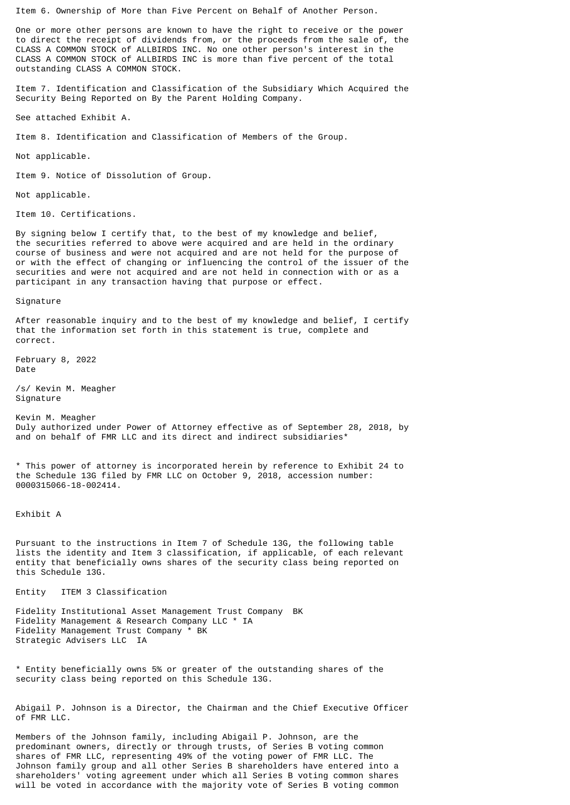Item 6. Ownership of More than Five Percent on Behalf of Another Person.

One or more other persons are known to have the right to receive or the power to direct the receipt of dividends from, or the proceeds from the sale of, the CLASS A COMMON STOCK of ALLBIRDS INC. No one other person's interest in the CLASS A COMMON STOCK of ALLBIRDS INC is more than five percent of the total outstanding CLASS A COMMON STOCK.

Item 7. Identification and Classification of the Subsidiary Which Acquired the Security Being Reported on By the Parent Holding Company.

See attached Exhibit A.

Item 8. Identification and Classification of Members of the Group.

Not applicable.

Item 9. Notice of Dissolution of Group.

Not applicable.

Item 10. Certifications.

By signing below I certify that, to the best of my knowledge and belief, the securities referred to above were acquired and are held in the ordinary course of business and were not acquired and are not held for the purpose of or with the effect of changing or influencing the control of the issuer of the securities and were not acquired and are not held in connection with or as a participant in any transaction having that purpose or effect.

Signature

After reasonable inquiry and to the best of my knowledge and belief, I certify that the information set forth in this statement is true, complete and correct.

February 8, 2022 Date

/s/ Kevin M. Meagher Signature

Kevin M. Meagher Duly authorized under Power of Attorney effective as of September 28, 2018, by and on behalf of FMR LLC and its direct and indirect subsidiaries\*

\* This power of attorney is incorporated herein by reference to Exhibit 24 to the Schedule 13G filed by FMR LLC on October 9, 2018, accession number: 0000315066-18-002414.

Exhibit A

Pursuant to the instructions in Item 7 of Schedule 13G, the following table lists the identity and Item 3 classification, if applicable, of each relevant entity that beneficially owns shares of the security class being reported on this Schedule 13G.

Entity ITEM 3 Classification

Fidelity Institutional Asset Management Trust Company BK Fidelity Management & Research Company LLC \* IA Fidelity Management Trust Company \* BK Strategic Advisers LLC IA

\* Entity beneficially owns 5% or greater of the outstanding shares of the security class being reported on this Schedule 13G.

Abigail P. Johnson is a Director, the Chairman and the Chief Executive Officer of FMR LLC.

Members of the Johnson family, including Abigail P. Johnson, are the predominant owners, directly or through trusts, of Series B voting common shares of FMR LLC, representing 49% of the voting power of FMR LLC. The Johnson family group and all other Series B shareholders have entered into a shareholders' voting agreement under which all Series B voting common shares will be voted in accordance with the majority vote of Series B voting common